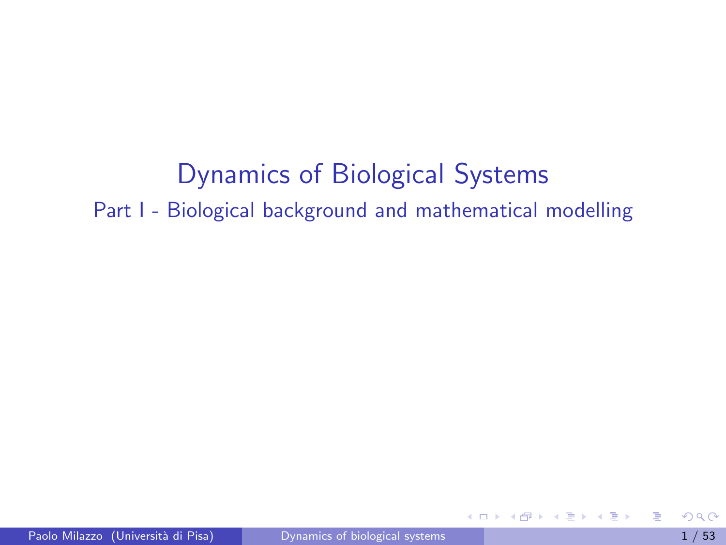# Dynamics of Biological Systems Part I - Biological background and mathematical modelling

<span id="page-0-0"></span>E

ヨメ メラメ

**Service** 

4 0 8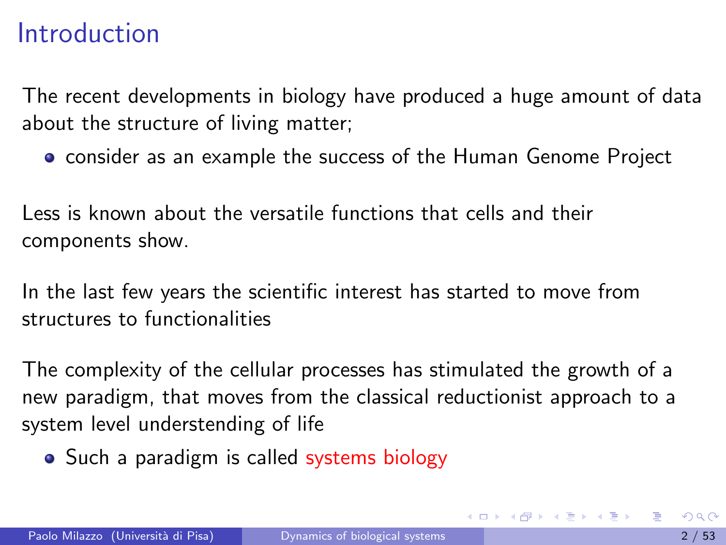### Introduction

The recent developments in biology have produced a huge amount of data about the structure of living matter;

**•** consider as an example the success of the Human Genome Project

Less is known about the versatile functions that cells and their components show.

In the last few years the scientific interest has started to move from structures to functionalities

The complexity of the cellular processes has stimulated the growth of a new paradigm, that moves from the classical reductionist approach to a system level understending of life

• Such a paradigm is called systems biology

<span id="page-1-0"></span>イロト イ押 トイヨ トイヨト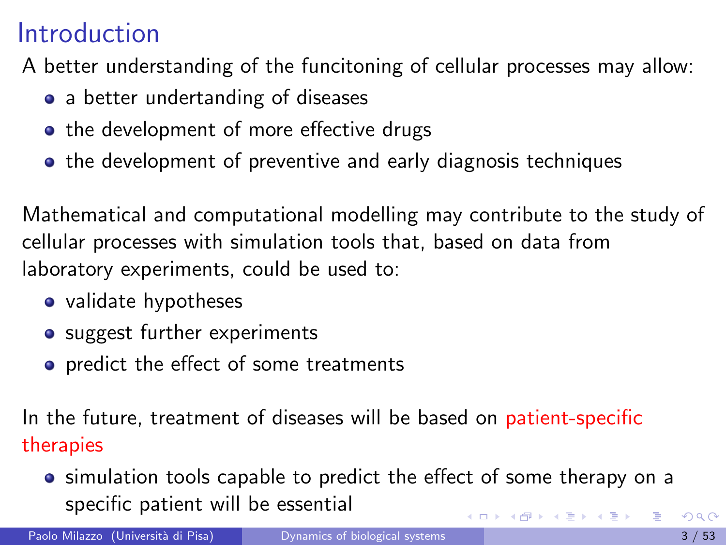## Introduction

A better understanding of the funcitoning of cellular processes may allow:

- a better undertanding of diseases
- the development of more effective drugs
- the development of preventive and early diagnosis techniques

Mathematical and computational modelling may contribute to the study of cellular processes with simulation tools that, based on data from laboratory experiments, could be used to:

- validate hypotheses
- suggest further experiments
- **•** predict the effect of some treatments

In the future, treatment of diseases will be based on patient-specific therapies

**•** simulation tools capable to predict the effect of some therapy on a specific patient will be essential **K ロ ▶ | K 母 ▶ | K ヨ ▶ | K ヨ ▶ |** 

Paolo Milazzo (Università di Pisa) [Dynamics of biological systems](#page-0-0) 3 / 53 / 53 / 53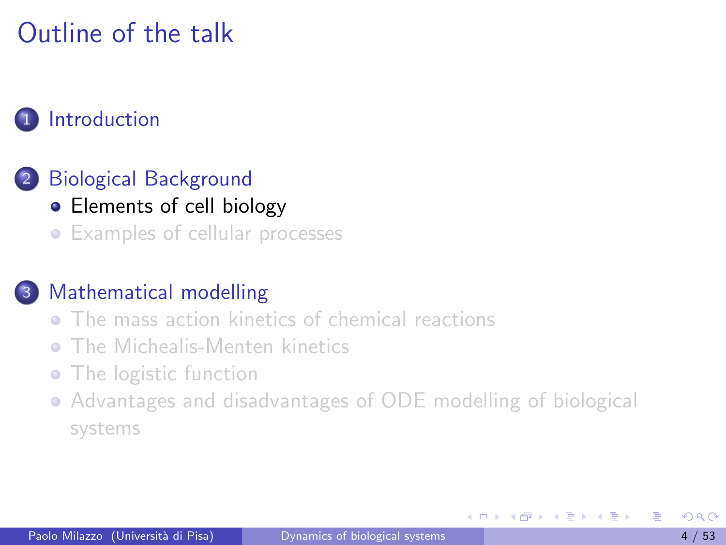# Outline of the talk

#### **[Introduction](#page-1-0)**

#### 2 [Biological Background](#page-3-0)

- [Elements of cell biology](#page-3-0)
- **•** [Examples of cellular processes](#page-10-0)

#### [Mathematical modelling](#page-22-0)

- **[The mass action kinetics of chemical reactions](#page-25-0)**
- [The Michealis-Menten kinetics](#page-39-0) ò.
- [The logistic function](#page-45-0)
- [Advantages and disadvantages of ODE modelling of biological](#page-50-0) [systems](#page-50-0)

4 **D** F

<span id="page-3-0"></span>K 로 베 K 로 로 베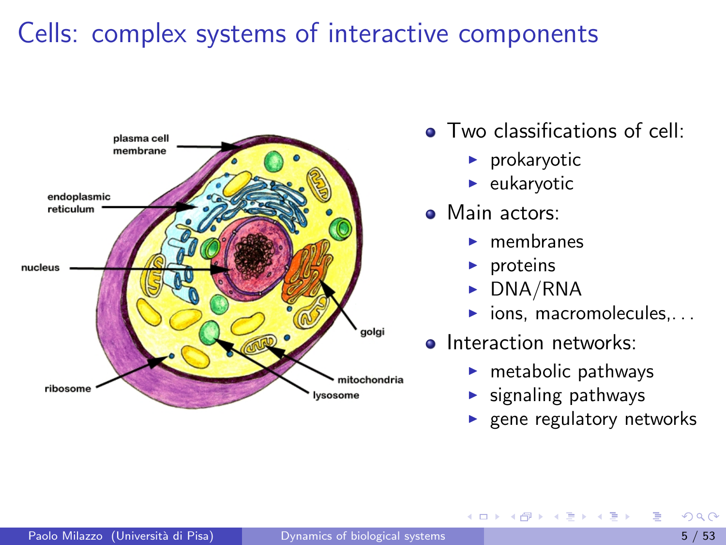### Cells: complex systems of interactive components



- **Two classifications of cell:** 
	- $\blacktriangleright$  prokaryotic
	- $\blacktriangleright$  eukaryotic
- **Main actors:**

4 0 8

- membranes
- proteins
- DNA/RNA
- ions, macromolecules, ...
- **o** Interaction networks:
	- $\blacktriangleright$  metabolic pathways
	- $\blacktriangleright$  signaling pathways
	- gene regulatory networks

 $\mathbf{A} \oplus \mathbf{B}$   $\mathbf{A} \oplus \mathbf{B}$   $\mathbf{A} \oplus \mathbf{B}$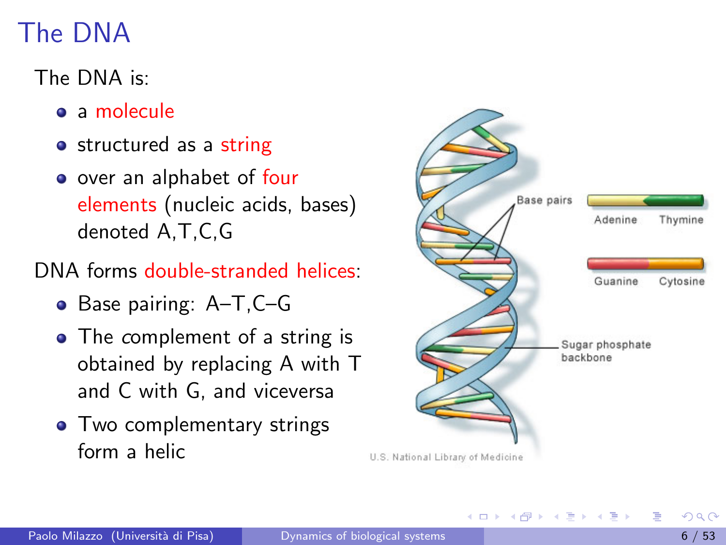# The DNA

### The DNA is:

- a molecule
- **o** structured as a string
- o over an alphabet of four elements (nucleic acids, bases) denoted A,T,C,G

### DNA forms double-stranded helices:

- Base pairing: A-T, C-G
- The complement of a string is obtained by replacing A with T and C with G, and viceversa
- Two complementary strings form a helic



- ④ インス ミン スコン

4 D F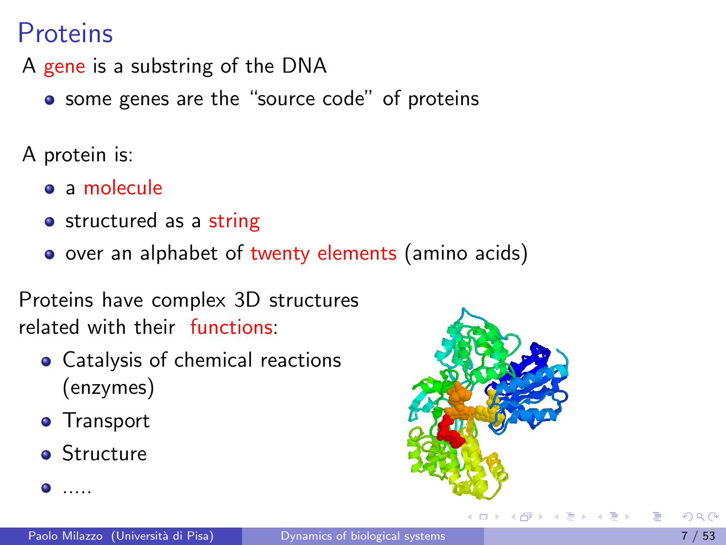### **Proteins**

A gene is a substring of the DNA

**•** some genes are the "source code" of proteins

A protein is:

- a molecule
- o structured as a string
- o over an alphabet of twenty elements (amino acids)

Proteins have complex 3D structures related with their functions:

- Catalysis of chemical reactions (enzymes)
- **•** Transport
- **•** Structure

 $\bullet$  .....



**∢ ⊡**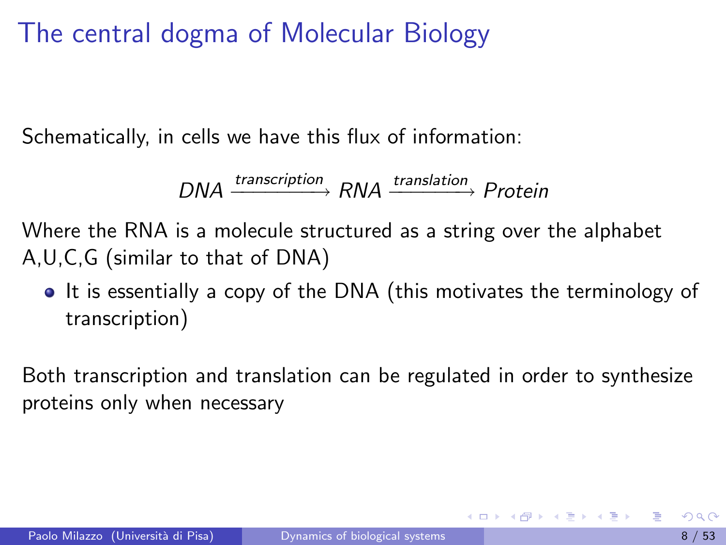The central dogma of Molecular Biology

Schematically, in cells we have this flux of information:

$$
DNA \xrightarrow{transcription} RNA \xrightarrow{translation} Protein
$$

Where the RNA is a molecule structured as a string over the alphabet A,U,C,G (similar to that of DNA)

• It is essentially a copy of the DNA (this motivates the terminology of transcription)

Both transcription and translation can be regulated in order to synthesize proteins only when necessary

K ロ ▶ K 優 ▶ K 둘 ▶ K 둘 ▶ ...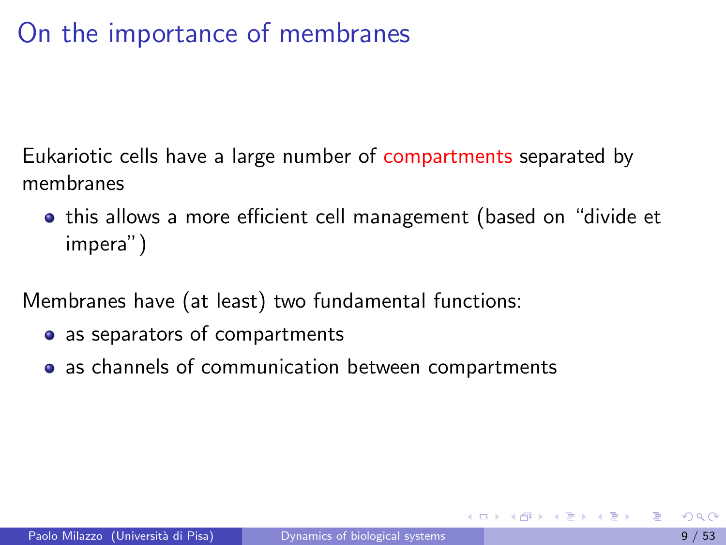# On the importance of membranes

Eukariotic cells have a large number of compartments separated by membranes

**•** this allows a more efficient cell management (based on "divide et impera")

Membranes have (at least) two fundamental functions:

- as separators of compartments
- as channels of communication between compartments

→ 何 ▶ → ヨ ▶ → ヨ ▶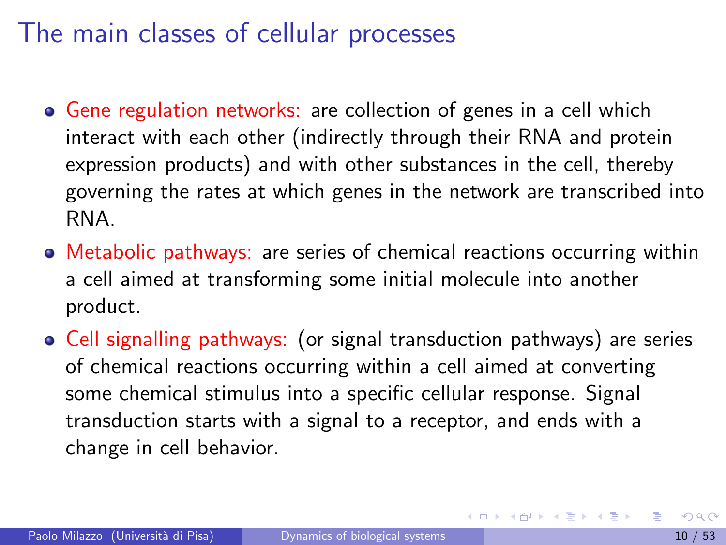## The main classes of cellular processes

- Gene regulation networks: are collection of genes in a cell which interact with each other (indirectly through their RNA and protein expression products) and with other substances in the cell, thereby governing the rates at which genes in the network are transcribed into RNA.
- Metabolic pathways: are series of chemical reactions occurring within a cell aimed at transforming some initial molecule into another product.
- Cell signalling pathways: (or signal transduction pathways) are series of chemical reactions occurring within a cell aimed at converting some chemical stimulus into a specific cellular response. Signal transduction starts with a signal to a receptor, and ends with a change in cell behavior.

イロト イ押 トイヨ トイヨ トー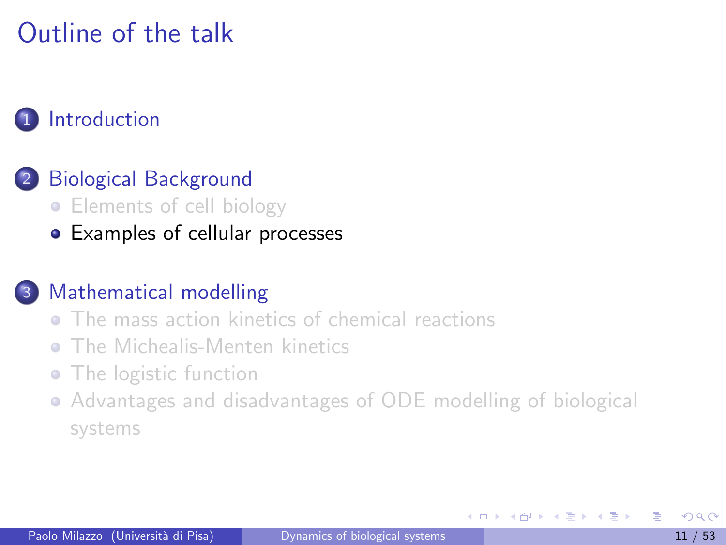# Outline of the talk

#### **[Introduction](#page-1-0)**

#### [Biological Background](#page-3-0)

- [Elements of cell biology](#page-3-0)
- [Examples of cellular processes](#page-10-0)

#### [Mathematical modelling](#page-22-0)

- **[The mass action kinetics of chemical reactions](#page-25-0)**
- [The Michealis-Menten kinetics](#page-39-0) ò.
- [The logistic function](#page-45-0)
- [Advantages and disadvantages of ODE modelling of biological](#page-50-0) [systems](#page-50-0)

<span id="page-10-0"></span>化重新润滑脂

4 **D** F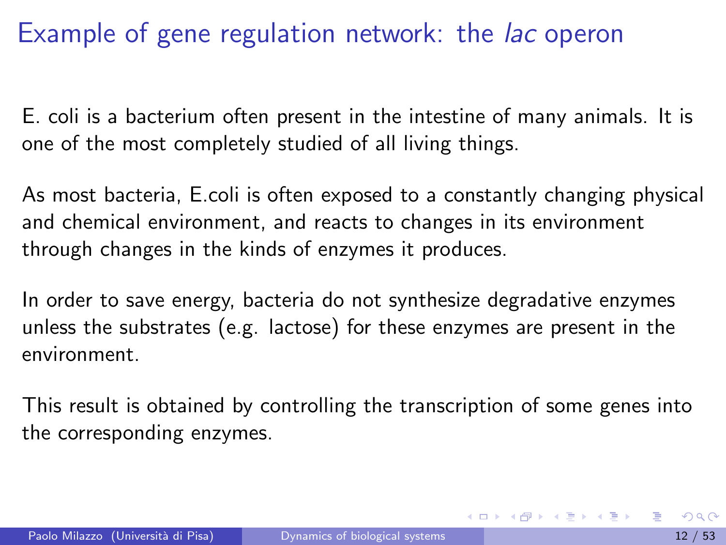E. coli is a bacterium often present in the intestine of many animals. It is one of the most completely studied of all living things.

As most bacteria, E.coli is often exposed to a constantly changing physical and chemical environment, and reacts to changes in its environment through changes in the kinds of enzymes it produces.

In order to save energy, bacteria do not synthesize degradative enzymes unless the substrates (e.g. lactose) for these enzymes are present in the environment.

This result is obtained by controlling the transcription of some genes into the corresponding enzymes.

K ロ ▶ K 個 ▶ K 결 ▶ K 결 ▶ ○ 결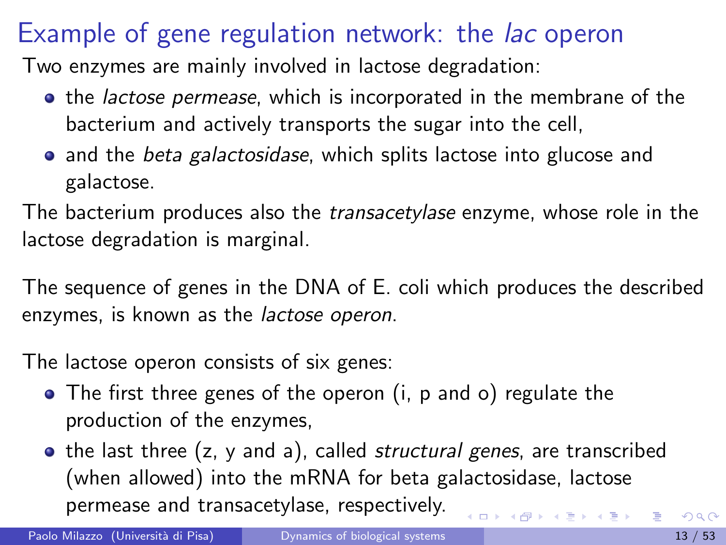Two enzymes are mainly involved in lactose degradation:

- **•** the *lactose permease*, which is incorporated in the membrane of the bacterium and actively transports the sugar into the cell,
- and the *beta galactosidase*, which splits lactose into glucose and galactose.

The bacterium produces also the *transacetylase* enzyme, whose role in the lactose degradation is marginal.

The sequence of genes in the DNA of E. coli which produces the described enzymes, is known as the lactose operon.

The lactose operon consists of six genes:

- The first three genes of the operon (i, p and o) regulate the production of the enzymes,
- the last three (z, y and a), called *structural genes*, are transcribed (when allowed) into the mRNA for beta galactosidase, lactose permease and transacetylase, respectively. 医单侧 医骨下的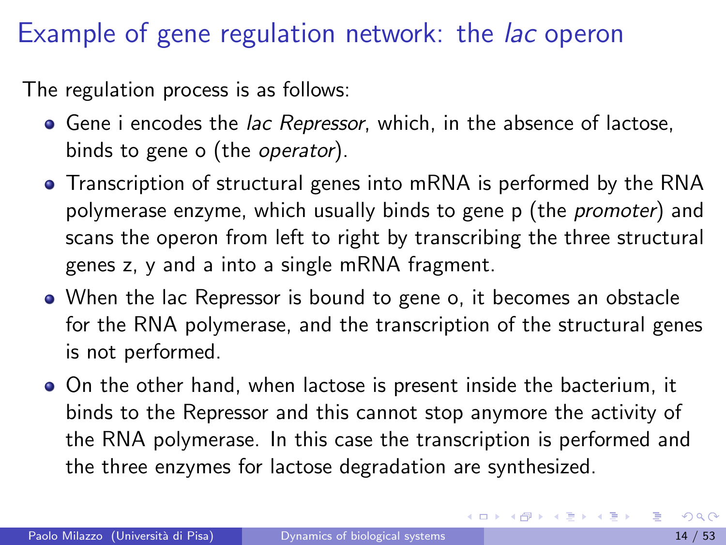The regulation process is as follows:

- **Gene i encodes the lac Repressor**, which, in the absence of lactose, binds to gene o (the operator).
- Transcription of structural genes into mRNA is performed by the RNA polymerase enzyme, which usually binds to gene p (the *promoter*) and scans the operon from left to right by transcribing the three structural genes z, y and a into a single mRNA fragment.
- When the lac Repressor is bound to gene o, it becomes an obstacle for the RNA polymerase, and the transcription of the structural genes is not performed.
- On the other hand, when lactose is present inside the bacterium, it binds to the Repressor and this cannot stop anymore the activity of the RNA polymerase. In this case the transcription is performed and the three enzymes for lactose degradation are synthesized.

イロト イ母 トイヨ トイヨ トー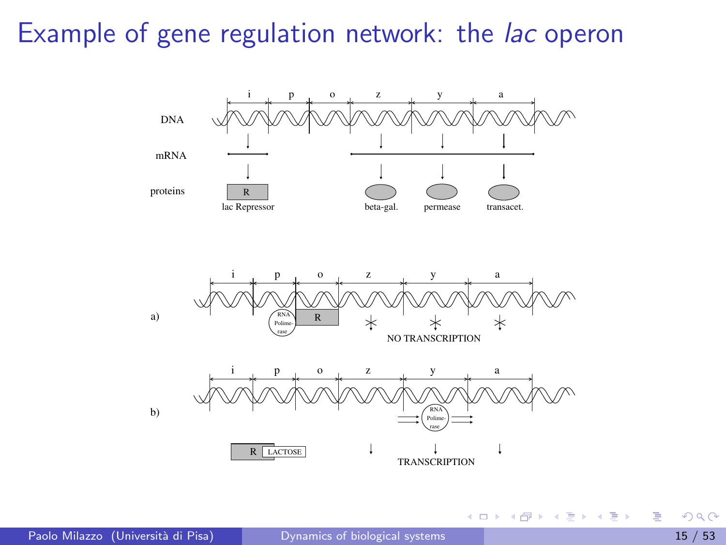

4 日下

 $\mathcal{A} \cap \mathbb{P} \rightarrow \mathcal{A} \supseteq \mathcal{A} \rightarrow \mathcal{A} \supseteq \mathcal{A}$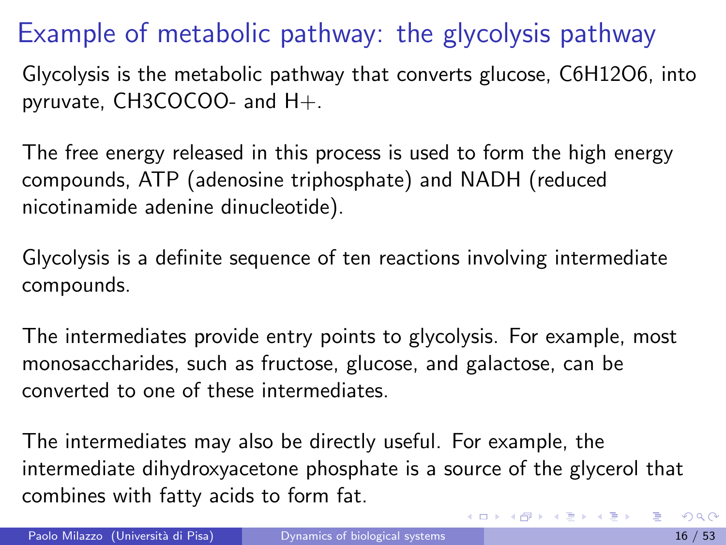# Example of metabolic pathway: the glycolysis pathway

Glycolysis is the metabolic pathway that converts glucose, C6H12O6, into pyruvate, CH3COCOO- and H+.

The free energy released in this process is used to form the high energy compounds, ATP (adenosine triphosphate) and NADH (reduced nicotinamide adenine dinucleotide).

Glycolysis is a definite sequence of ten reactions involving intermediate compounds.

The intermediates provide entry points to glycolysis. For example, most monosaccharides, such as fructose, glucose, and galactose, can be converted to one of these intermediates.

The intermediates may also be directly useful. For example, the intermediate dihydroxyacetone phosphate is a source of the glycerol that combines with fatty acids to form fat.

イロメ イ部メ イ君メ イ君メー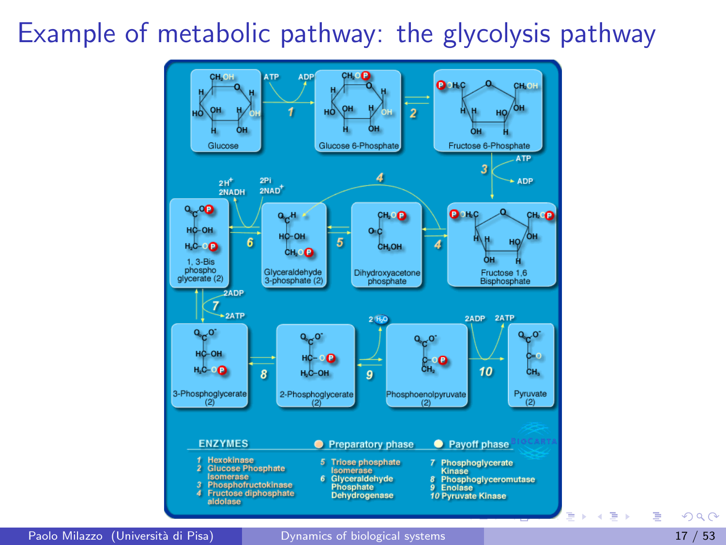### Example of metabolic pathway: the glycolysis pathway



Paolo Milazzo (Università di Pisa) [Dynamics of biological systems](#page-0-0) 17 / 53

 $\Omega$ 

 $\mathcal{A}$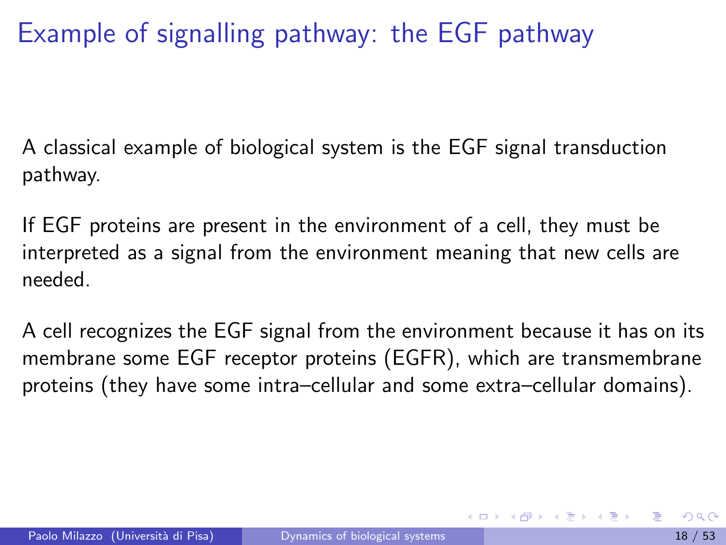# Example of signalling pathway: the EGF pathway

A classical example of biological system is the EGF signal transduction pathway.

If EGF proteins are present in the environment of a cell, they must be interpreted as a signal from the environment meaning that new cells are needed.

A cell recognizes the EGF signal from the environment because it has on its membrane some EGF receptor proteins (EGFR), which are transmembrane proteins (they have some intra–cellular and some extra–cellular domains).

イロト イ母 トイヨ トイヨ トー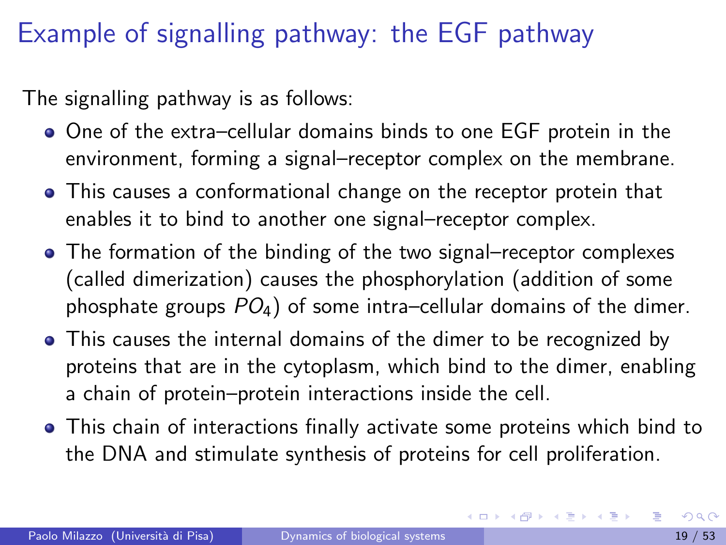# Example of signalling pathway: the EGF pathway

The signalling pathway is as follows:

- One of the extra–cellular domains binds to one EGF protein in the environment, forming a signal–receptor complex on the membrane.
- This causes a conformational change on the receptor protein that enables it to bind to another one signal–receptor complex.
- The formation of the binding of the two signal–receptor complexes (called dimerization) causes the phosphorylation (addition of some phosphate groups  $PO_4$ ) of some intra–cellular domains of the dimer.
- This causes the internal domains of the dimer to be recognized by proteins that are in the cytoplasm, which bind to the dimer, enabling a chain of protein–protein interactions inside the cell.
- This chain of interactions finally activate some proteins which bind to the DNA and stimulate synthesis of proteins for cell proliferation.

メロメ メ都 メメ きょくきょ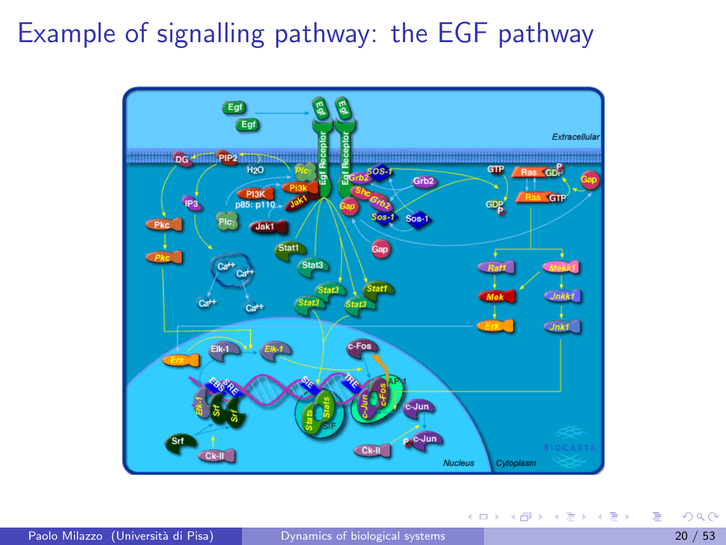# Example of signalling pathway: the EGF pathway



イロト イ押ト イヨト イヨト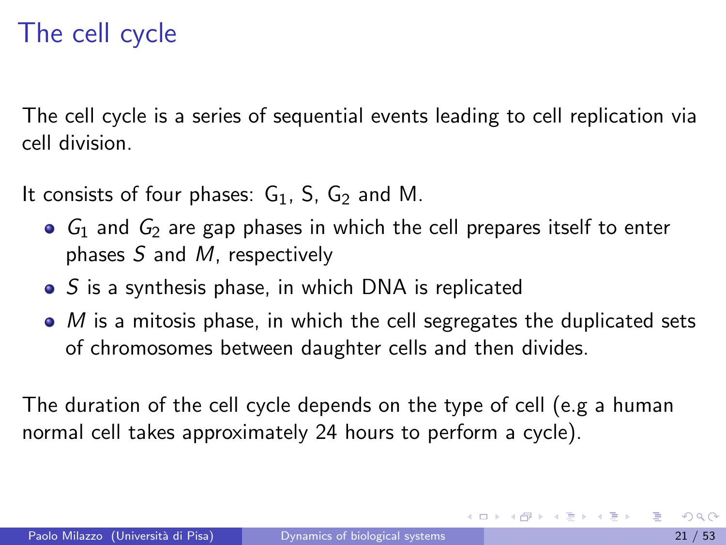# The cell cycle

The cell cycle is a series of sequential events leading to cell replication via cell division.

It consists of four phases:  $G_1$ , S,  $G_2$  and M.

- $\bullet$   $G_1$  and  $G_2$  are gap phases in which the cell prepares itself to enter phases  $S$  and  $M$ , respectively
- $\bullet$  S is a synthesis phase, in which DNA is replicated
- $\bullet$  *M* is a mitosis phase, in which the cell segregates the duplicated sets of chromosomes between daughter cells and then divides.

The duration of the cell cycle depends on the type of cell (e.g a human normal cell takes approximately 24 hours to perform a cycle).

イロト イ押ト イヨト イヨトー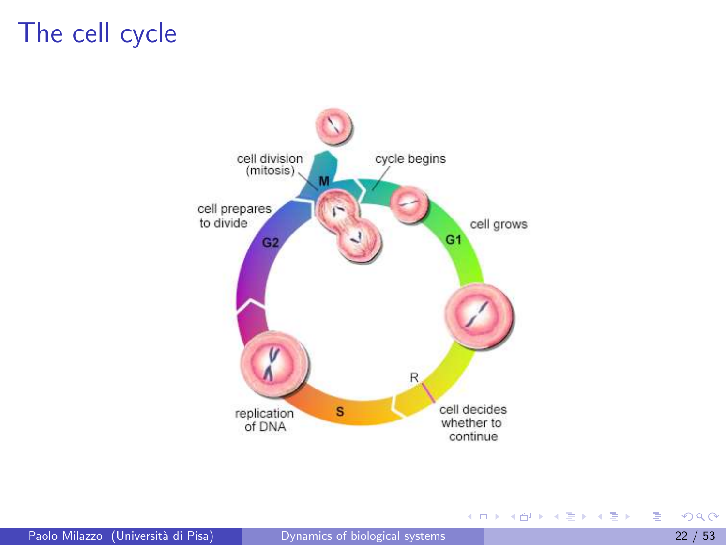### The cell cycle



<span id="page-21-0"></span>重

イロト イ部 トイヨ トイヨト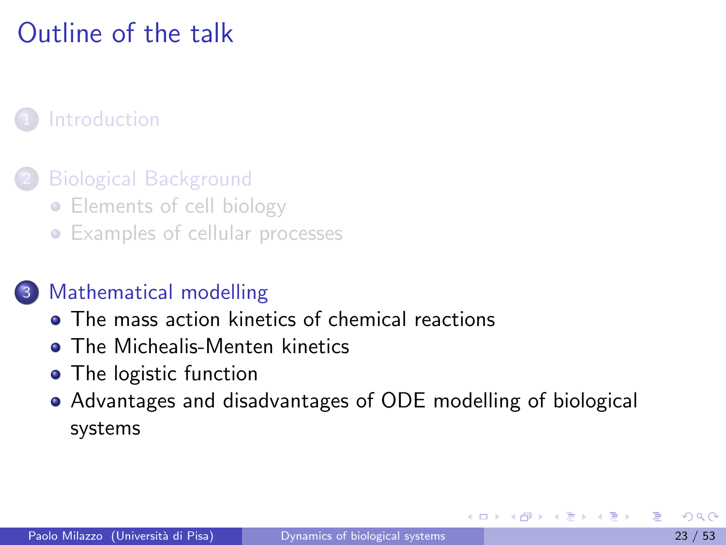# Outline of the talk

#### **[Introduction](#page-1-0)**

#### **[Biological Background](#page-3-0)**

- [Elements of cell biology](#page-3-0)
- **•** [Examples of cellular processes](#page-10-0)

#### [Mathematical modelling](#page-22-0)

- **[The mass action kinetics of chemical reactions](#page-25-0)**
- **o** [The Michealis-Menten kinetics](#page-39-0)
- [The logistic function](#page-45-0)
- <span id="page-22-0"></span>[Advantages and disadvantages of ODE modelling of biological](#page-50-0) [systems](#page-50-0)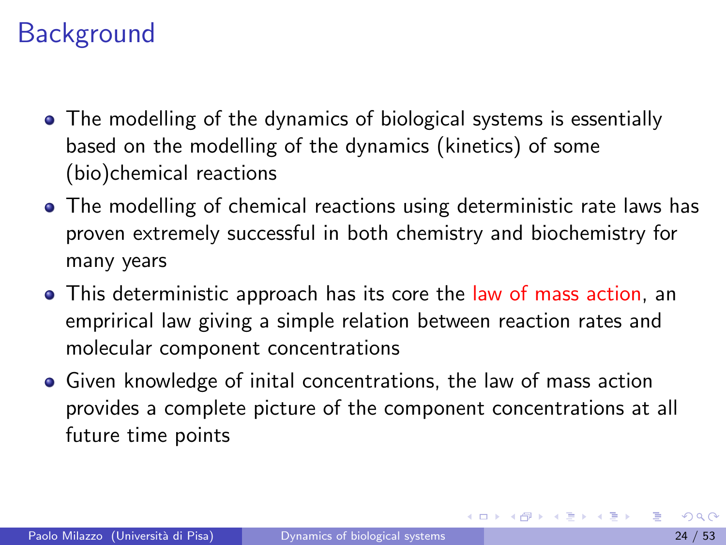# **Background**

- The modelling of the dynamics of biological systems is essentially based on the modelling of the dynamics (kinetics) of some (bio)chemical reactions
- The modelling of chemical reactions using deterministic rate laws has proven extremely successful in both chemistry and biochemistry for many years
- This deterministic approach has its core the law of mass action, an emprirical law giving a simple relation between reaction rates and molecular component concentrations
- **•** Given knowledge of inital concentrations, the law of mass action provides a complete picture of the component concentrations at all future time points

イロメ イ部メ イヨメ イヨメー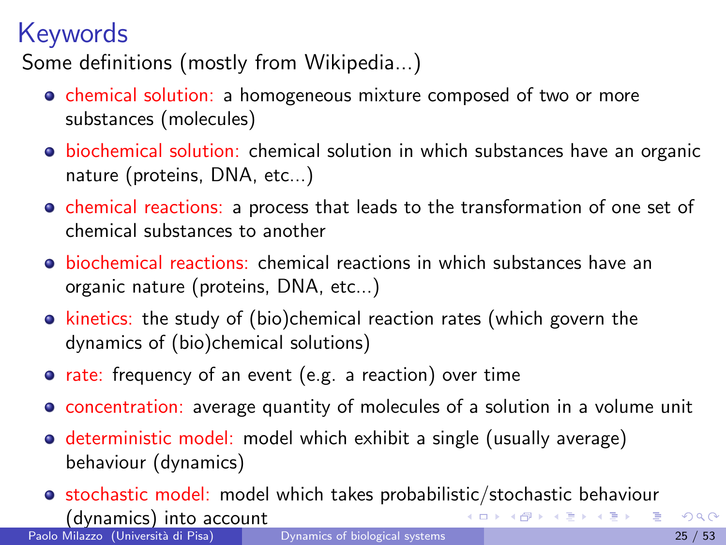# Keywords

Some definitions (mostly from Wikipedia...)

- chemical solution: a homogeneous mixture composed of two or more substances (molecules)
- **·** biochemical solution: chemical solution in which substances have an organic nature (proteins, DNA, etc...)
- chemical reactions: a process that leads to the transformation of one set of chemical substances to another
- biochemical reactions: chemical reactions in which substances have an organic nature (proteins, DNA, etc...)
- kinetics: the study of (bio)chemical reaction rates (which govern the dynamics of (bio)chemical solutions)
- rate: frequency of an event (e.g. a reaction) over time
- concentration: average quantity of molecules of a solution in a volume unit
- **o** deterministic model: model which exhibit a single (usually average) behaviour (dynamics)
- <span id="page-24-0"></span>**•** stochastic model: model which takes probabilistic/stochastic behaviour (dynamics) into account バタト メミト メミトリ 毛

Paolo Milazzo (Università di Pisa) [Dynamics of biological systems](#page-0-0) 25 / 53 / 53 / 53 / 53 / 53 / 753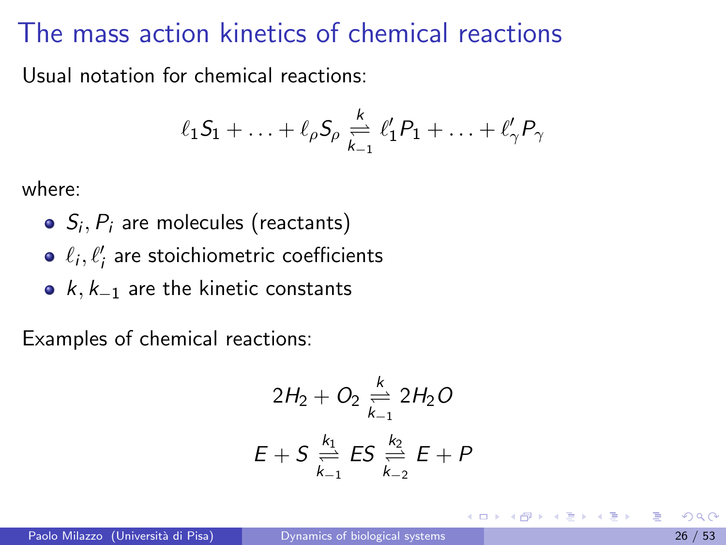Usual notation for chemical reactions:

$$
\ell_1 S_1 + \ldots + \ell_\rho S_\rho \underset{k_{-1}}{\overset{k}{\rightleftharpoons}} \ell'_1 P_1 + \ldots + \ell'_\gamma P_\gamma
$$

where:

- $S_i, P_i$  are molecules (reactants)
- $\ell_i, \ell'_i$  are stoichiometric coefficients
- $k, k_{-1}$  are the kinetic constants

Examples of chemical reactions:

<span id="page-25-0"></span>
$$
2H_2 + O_2 \underset{k_{-1}}{\overset{k}{\rightleftharpoons}} 2H_2O
$$
  

$$
E + S \underset{k_{-1}}{\overset{k_1}{\rightleftharpoons}} ES \underset{k_{-2}}{\overset{k_2}{\rightleftharpoons}} E + P
$$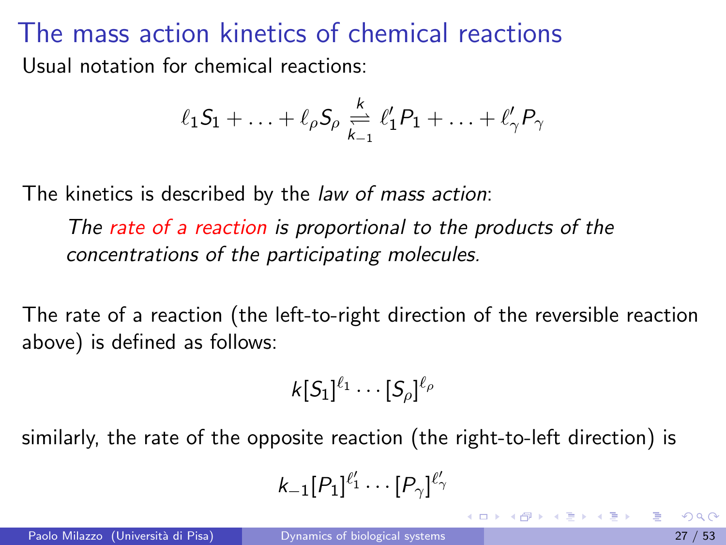The mass action kinetics of chemical reactions Usual notation for chemical reactions:

$$
\ell_1 S_1 + \ldots + \ell_\rho S_\rho \underset{k_{-1}}{\overset{k}{\rightleftharpoons}} \ell'_1 P_1 + \ldots + \ell'_\gamma P_\gamma
$$

The kinetics is described by the *law of mass action*:

The rate of a reaction is proportional to the products of the concentrations of the participating molecules.

The rate of a reaction (the left-to-right direction of the reversible reaction above) is defined as follows:

$$
k[S_1]^{\ell_1}\cdots[S_\rho]^{\ell_\rho}
$$

similarly, the rate of the opposite reaction (the right-to-left direction) is

<span id="page-26-0"></span>
$$
k_{-1}[P_1]^{\ell'_1}\cdots[P_\gamma]^{\ell'_\gamma}
$$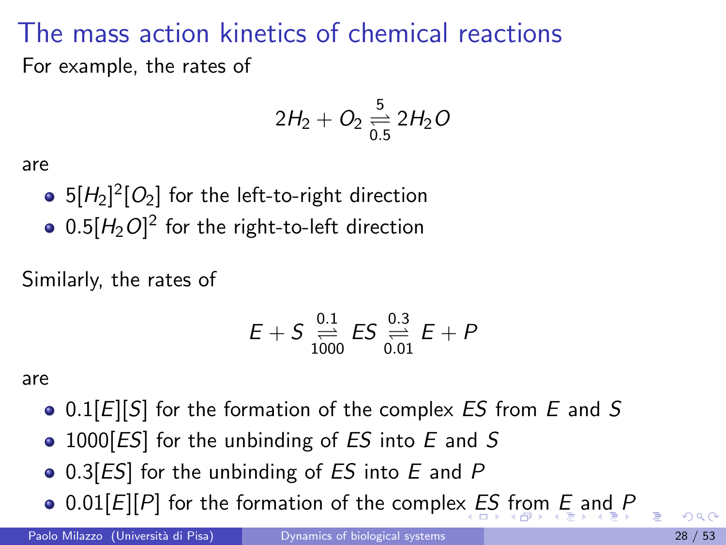### The mass action kinetics of chemical reactions For example, the rates of

$$
2H_2 + O_2 \underset{0.5}{\overset{5}{\rightleftharpoons}} 2H_2O
$$

are

- 5 $[H_2]^2[O_2]$  for the left-to-right direction
- $0.5 [H_2 O]^2$  for the right-to-left direction

Similarly, the rates of

<span id="page-27-0"></span>
$$
E + S \underset{1000}{\overset{0.1}{\rightleftharpoons}} ES \underset{0.01}{\overset{0.3}{\rightleftharpoons}} E + P
$$

are

- $\bullet$  0.1[E][S] for the formation of the complex ES from E and S
- $\bullet$  1000[ES] for the unbinding of ES into E and S
- $\bullet$  0.3[ES] for the unbinding of ES into E and P
- $\bullet$  0.01[[E](#page-25-0)][P] for the formation of the complex E[S](#page-28-0) [f](#page-26-0)[ro](#page-27-0)[m](#page-28-0) E [a](#page-39-0)[n](#page-21-0)[d](#page-22-0) [P](#page-52-0)

Paolo Milazzo (Università di Pisa) [Dynamics of biological systems](#page-0-0) 28 / 53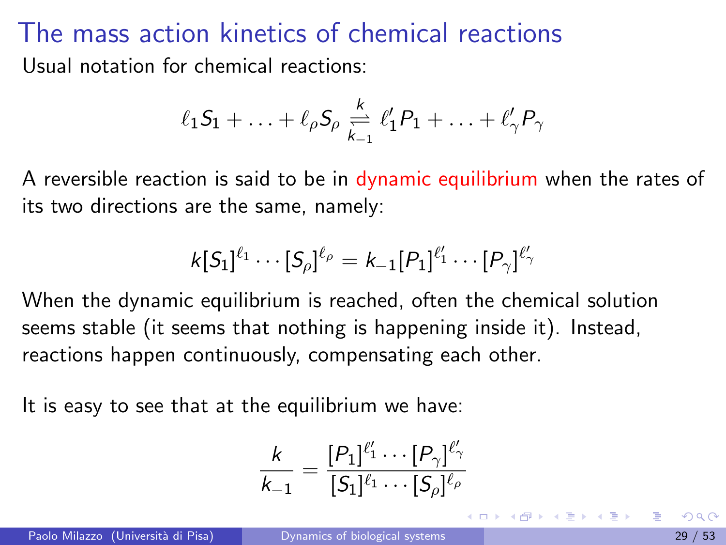### The mass action kinetics of chemical reactions Usual notation for chemical reactions:

$$
\ell_1 S_1 + \ldots + \ell_\rho S_\rho \underset{k_{-1}}{\overset{k}{\rightleftharpoons}} \ell'_1 P_1 + \ldots + \ell'_\gamma P_\gamma
$$

A reversible reaction is said to be in dynamic equilibrium when the rates of its two directions are the same, namely:

$$
k[S_1]^{\ell_1} \cdots [S_\rho]^{\ell_\rho} = k_{-1}[P_1]^{\ell'_1} \cdots [P_\gamma]^{\ell'_\gamma}
$$

When the dynamic equilibrium is reached, often the chemical solution seems stable (it seems that nothing is happening inside it). Instead, reactions happen continuously, compensating each other.

It is easy to see that at the equilibrium we have:

<span id="page-28-0"></span>
$$
\frac{k}{k_{-1}}=\frac{[P_1]^{\ell_1'}\cdots[P_{\gamma}]}{[S_1]^{\ell_1}\cdots[S_{\rho}]^{\ell_{\rho}}}
$$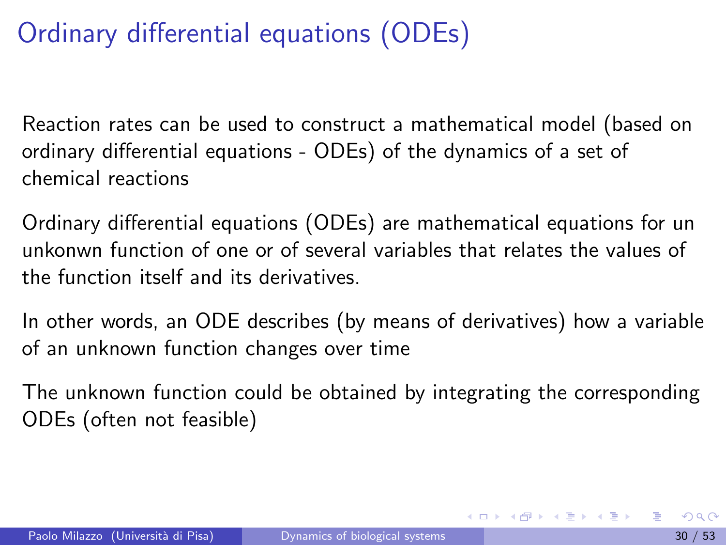Reaction rates can be used to construct a mathematical model (based on ordinary differential equations - ODEs) of the dynamics of a set of chemical reactions

Ordinary differential equations (ODEs) are mathematical equations for un unkonwn function of one or of several variables that relates the values of the function itself and its derivatives.

In other words, an ODE describes (by means of derivatives) how a variable of an unknown function changes over time

The unknown function could be obtained by integrating the corresponding ODEs (often not feasible)

イロメ イ部メ イヨメ イヨメー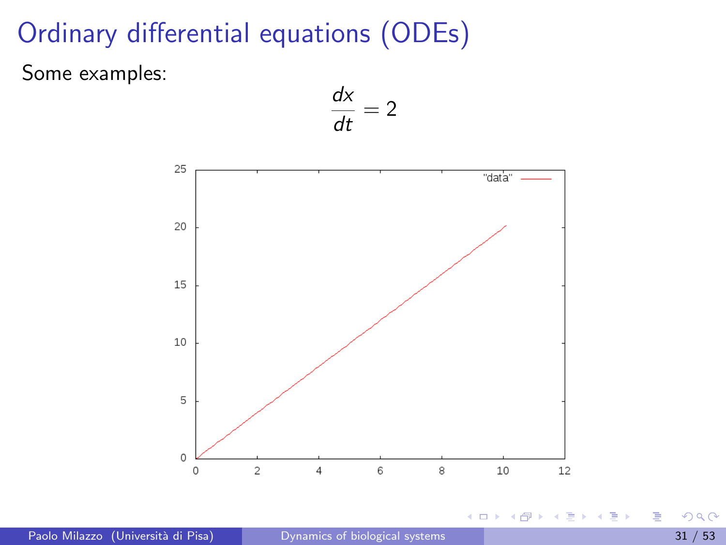Some examples:

$$
\frac{dx}{dt}=2
$$



4.0.3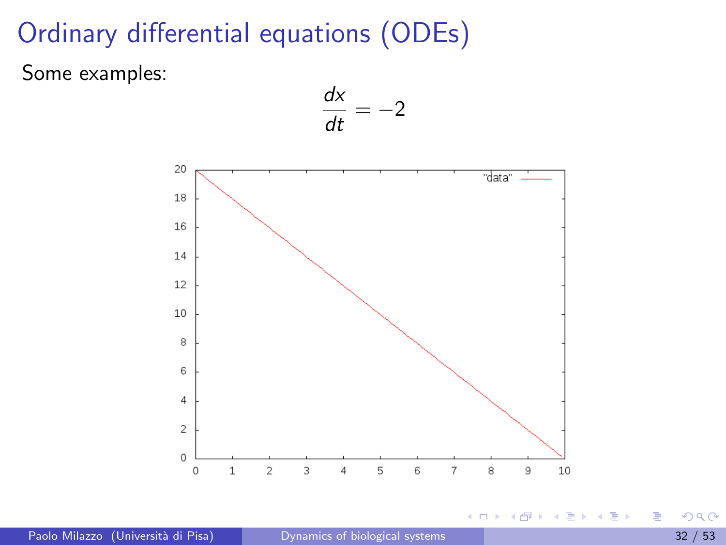Some examples:

$$
\frac{dx}{dt} = -2
$$



4.0.3

 $\sim$ 

 $\sim$ ÷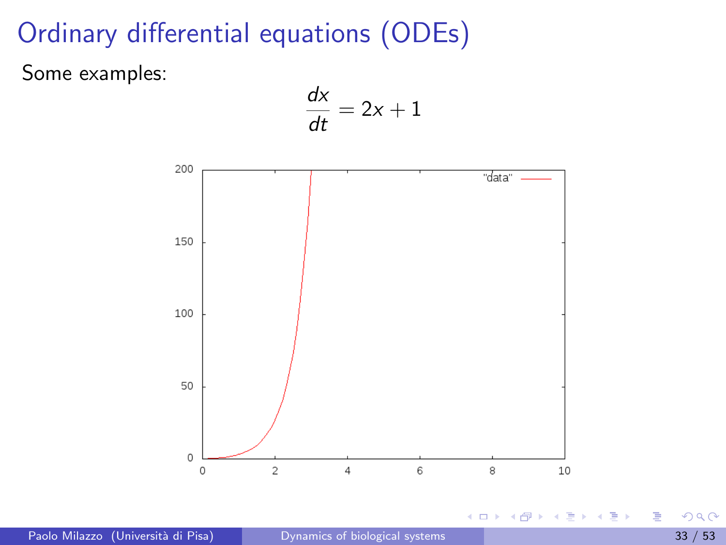Some examples:

$$
\frac{dx}{dt} = 2x + 1
$$



4.0.3

 $\sim$ 

 $\sim$ ∍∍ э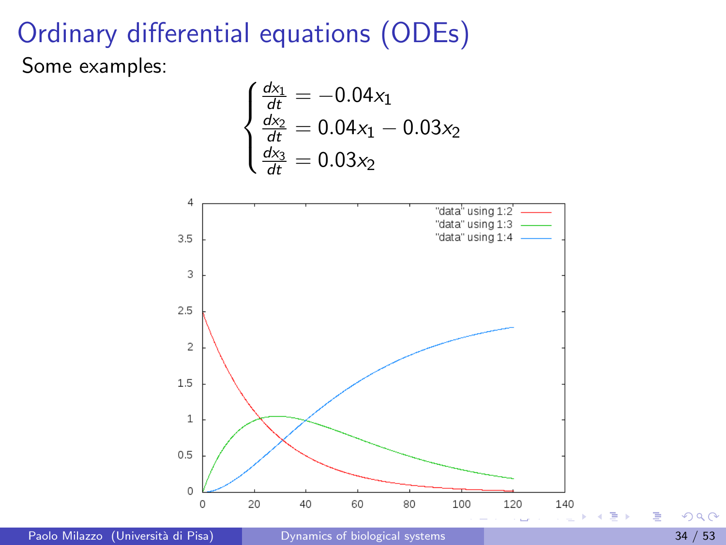### Ordinary differential equations (ODEs) Some examples:

$$
\begin{cases}\n\frac{dx_1}{dt} = -0.04x_1\\ \n\frac{dx_2}{dt} = 0.04x_1 - 0.03x_2\\ \n\frac{dx_3}{dt} = 0.03x_2\n\end{cases}
$$



Paolo Milazzo (Università di Pisa) [Dynamics of biological systems](#page-0-0) 34 / 53 / 53 / 54 / 53

<span id="page-33-0"></span> $299$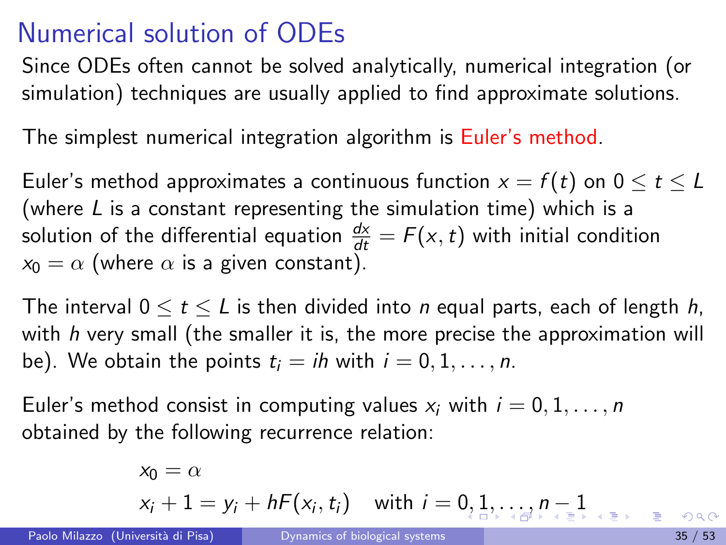## Numerical solution of ODEs

Since ODEs often cannot be solved analytically, numerical integration (or simulation) techniques are usually applied to find approximate solutions.

The simplest numerical integration algorithm is Euler's method.

Euler's method approximates a continuous function  $x = f(t)$  on  $0 \le t \le L$ (where L is a constant representing the simulation time) which is a solution of the differential equation  $\frac{dx}{dt} = F(x, t)$  with initial condition  $x_0 = \alpha$  (where  $\alpha$  is a given constant).

The interval  $0 \le t \le L$  is then divided into *n* equal parts, each of length *h*, with  $h$  very small (the smaller it is, the more precise the approximation will be). We obtain the points  $t_i = ih$  with  $i = 0, 1, \ldots, n$ .

Euler's method consist in computing values  $x_i$  with  $i = 0, 1, \ldots, n$ obtained by the following recurrence relation:

<span id="page-34-0"></span>
$$
x_0 = \alpha
$$
  
 
$$
x_i + 1 = y_i + hF(x_i, t_i) \quad \text{with } i = 0, 1, \dots, n-1
$$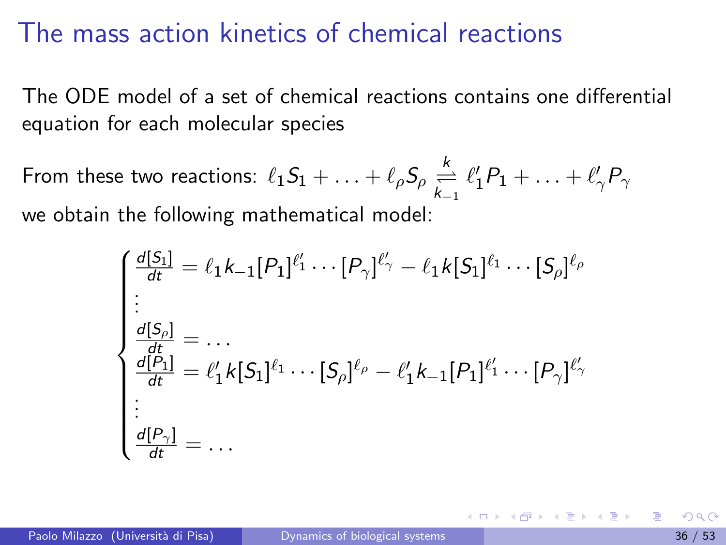The ODE model of a set of chemical reactions contains one differential equation for each molecular species

From these two reactions:  $\ell_1 S_1 + \ldots + \ell_\rho S_\rho \overset{k}{\underset{k=1}{\rightleftharpoons}} \ell'_1 P_1 + \ldots + \ell'_\gamma P_\gamma$ we obtain the following mathematical model:

<span id="page-35-0"></span>
$$
\begin{cases}\n\frac{d[S_1]}{dt} = \ell_1 k_{-1} [P_1]^{\ell'_1} \cdots [P_{\gamma}]^{\ell'_{\gamma}} - \ell_1 k [S_1]^{\ell_1} \cdots [S_{\rho}]^{\ell_{\rho}} \\
\vdots \\
\frac{d[S_{\rho}]}{dt} = \cdots \\
\frac{d[P_1]}{dt} = \ell'_1 k [S_1]^{\ell_1} \cdots [S_{\rho}]^{\ell_{\rho}} - \ell'_1 k_{-1} [P_1]^{\ell'_1} \cdots [P_{\gamma}]^{\ell'_{\gamma}} \\
\vdots \\
\frac{d[P_{\gamma}]}{dt} = \cdots\n\end{cases}
$$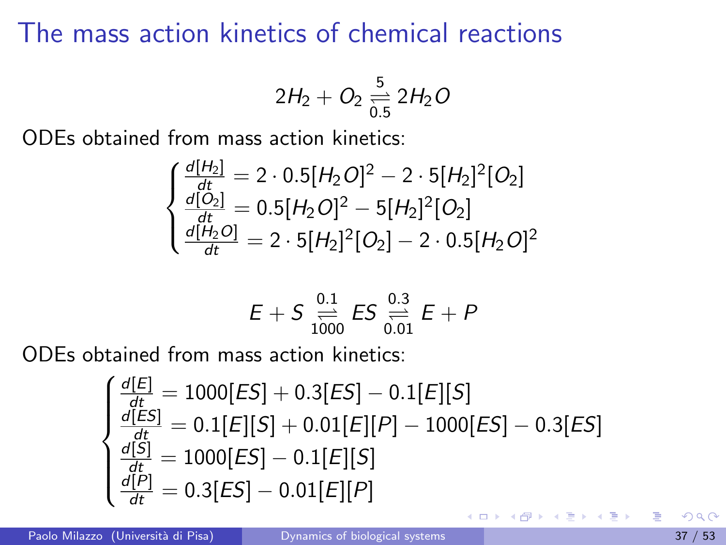$$
2H_2+O_2\underset{0.5}{\overset{5}{\rightleftharpoons}}2H_2O
$$

ODEs obtained from mass action kinetics:

$$
\begin{cases}\n\frac{d[H_2]}{dt} = 2 \cdot 0.5[H_2O]^2 - 2 \cdot 5[H_2]^2[O_2] \\
\frac{d[O_2]}{dt} = 0.5[H_2O]^2 - 5[H_2]^2[O_2] \\
\frac{d[H_2O]}{dt} = 2 \cdot 5[H_2]^2[O_2] - 2 \cdot 0.5[H_2O]^2\n\end{cases}
$$

$$
E + S \underset{1000}{\overset{0.1}{\rightleftharpoons}} ES \underset{0.01}{\overset{0.3}{\rightleftharpoons}} E + P
$$

ODEs obtained from mass action kinetics:

$$
\begin{cases}\n\frac{d[E]}{dt} = 1000[ES] + 0.3[ES] - 0.1[E][S] \\
\frac{d[ES]}{dt} = 0.1[E][S] + 0.01[E][P] - 1000[ES] - 0.3[ES] \\
\frac{d[S]}{dt} = 1000[ES] - 0.1[E][S] \\
\frac{d[P]}{dt} = 0.3[ES] - 0.01[E][P]\n\end{cases}
$$

医毛囊 医牙骨下的

4 0 3 4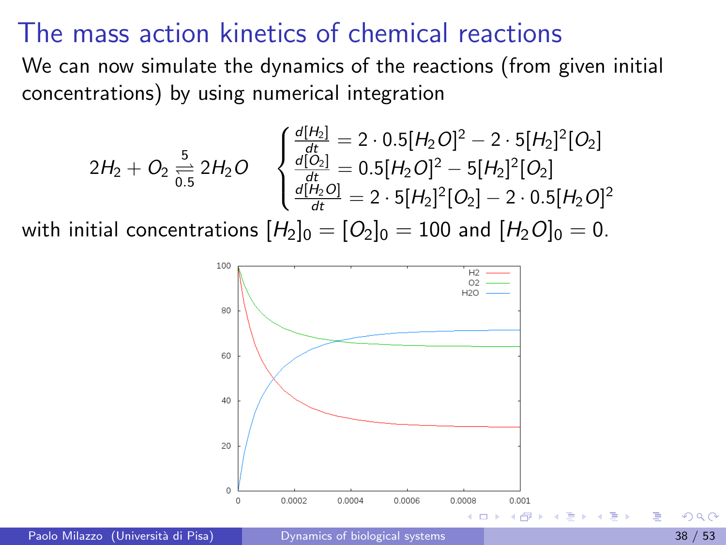We can now simulate the dynamics of the reactions (from given initial concentrations) by using numerical integration

$$
2H_2 + O_2 \underset{0.5}{\overset{5}{\rightleftharpoons}} 2H_2O \quad \begin{cases} \frac{d[H_2]}{dt} = 2 \cdot 0.5[H_2O]^2 - 2 \cdot 5[H_2]^2[O_2] \\ \frac{d[O_2]}{dt} = 0.5[H_2O]^2 - 5[H_2]^2[O_2] \\ \frac{d[H_2O]}{dt} = 2 \cdot 5[H_2]^2[O_2] - 2 \cdot 0.5[H_2O]^2 \end{cases}
$$

with initial concentrations  $[H_2]_0 = [O_2]_0 = 100$  and  $[H_2O]_0 = 0$ .



Paolo Milazzo (Università di Pisa) [Dynamics of biological systems](#page-0-0) 38 / 53 / 53 / 53 / 53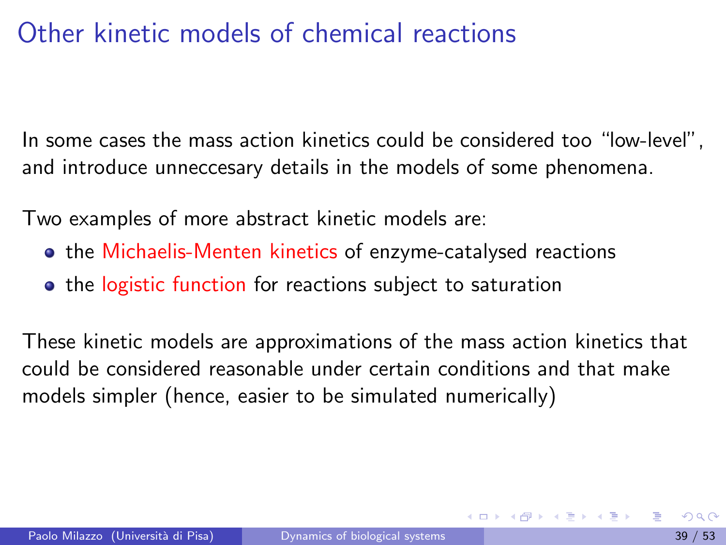# Other kinetic models of chemical reactions

In some cases the mass action kinetics could be considered too "low-level", and introduce unneccesary details in the models of some phenomena.

Two examples of more abstract kinetic models are:

- **•** the Michaelis-Menten kinetics of enzyme-catalysed reactions
- <span id="page-38-0"></span>• the logistic function for reactions subject to saturation

These kinetic models are approximations of the mass action kinetics that could be considered reasonable under certain conditions and that make models simpler (hence, easier to be simulated numerically)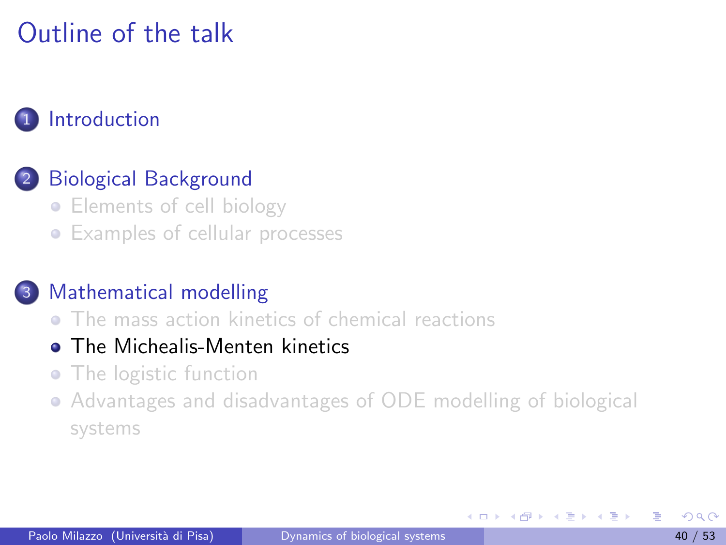# Outline of the talk

#### **[Introduction](#page-1-0)**

### [Biological Background](#page-3-0)

- [Elements of cell biology](#page-3-0)
- **•** [Examples of cellular processes](#page-10-0)

#### [Mathematical modelling](#page-22-0)

**• [The mass action kinetics of chemical reactions](#page-25-0)** 

#### **o** [The Michealis-Menten kinetics](#page-39-0)

- [The logistic function](#page-45-0)
- [Advantages and disadvantages of ODE modelling of biological](#page-50-0) [systems](#page-50-0)

<span id="page-39-0"></span>化重新润滑脂

4 **D** F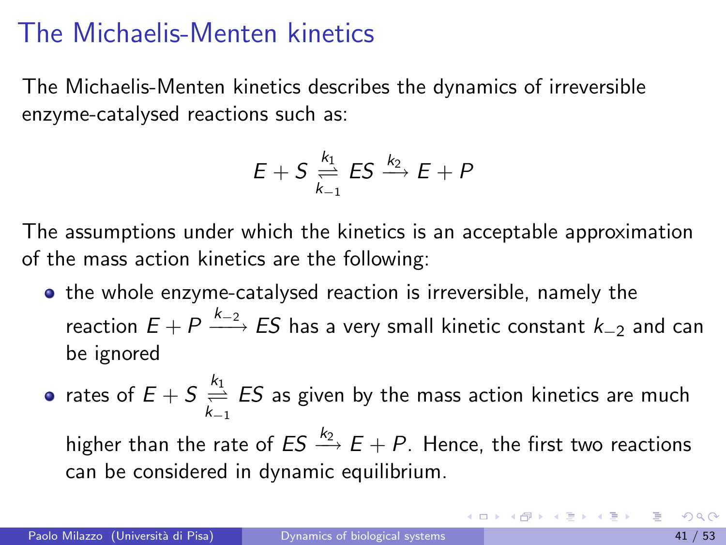The Michaelis-Menten kinetics describes the dynamics of irreversible enzyme-catalysed reactions such as:

$$
E+S\underset{k_{-1}}{\overset{k_1}{\rightleftharpoons}} ES\overset{k_2}{\longrightarrow} E+P
$$

The assumptions under which the kinetics is an acceptable approximation of the mass action kinetics are the following:

- **•** the whole enzyme-catalysed reaction is irreversible, namely the reaction  $E+P\stackrel{k_{-2}}{\longrightarrow}ES$  has a very small kinetic constant  $k_{-2}$  and can be ignored
- rates of  $E + S \stackrel{k_1}{\rightleftharpoons} ES$  as given by the mass action kinetics are much higher than the rate of  $ES \stackrel{k_2}{\longrightarrow} E + P$ . Hence, the first two reactions can be considered in dynamic equilibrium.

イロト イ母 トイミト イミト ニヨー りんぴ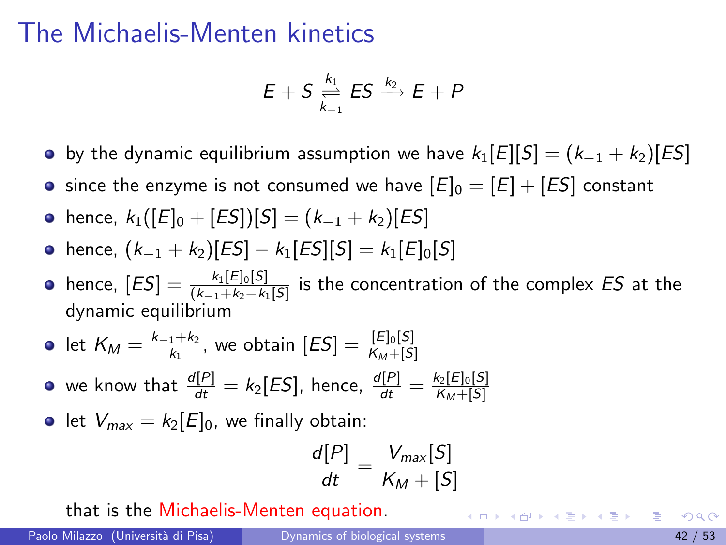$$
E+S\underset{k_{-1}}{\overset{k_1}{\rightleftharpoons}} ES\overset{k_2}{\longrightarrow} E+P
$$

- by the dynamic equilibrium assumption we have  $k_1[E][S] = (k_{-1} + k_2)[ES]$
- since the enzyme is not consumed we have  $[E]_0 = [E] + [ES]$  constant
- hence,  $k_1([E]_0 + [ES])[S] = (k_{-1} + k_2)[ES]$
- hence,  $(k_{-1} + k_2)[ES] k_1[ES][S] = k_1[E]_0[S]$
- hence,  $[ES] = \frac{k_1[E]_0[S]}{(k_{-1}+k_2-k_1[S]}$  is the concentration of the complex  $ES$  at the dynamic equilibrium

• let 
$$
K_M = \frac{k_{-1}+k_2}{k_1}
$$
, we obtain  $[ES] = \frac{[E]_0[S]}{K_M+[S]}$ 

we know that  $\frac{d[P]}{dt}=k_2[ES]$ , hence,  $\frac{d[P]}{dt}=\frac{k_2[E]_0[S]}{K_M+[S]}$  $\mathsf{K}_M + [S]$ 

• let  $V_{max} = k_2[E]_0$ , we finally obtain:

$$
\frac{d[P]}{dt} = \frac{V_{max}[S]}{K_M + [S]}
$$

that is the Michaelis-Menten equation.

イロト イ母 トイミト イミト ニヨー りんぴ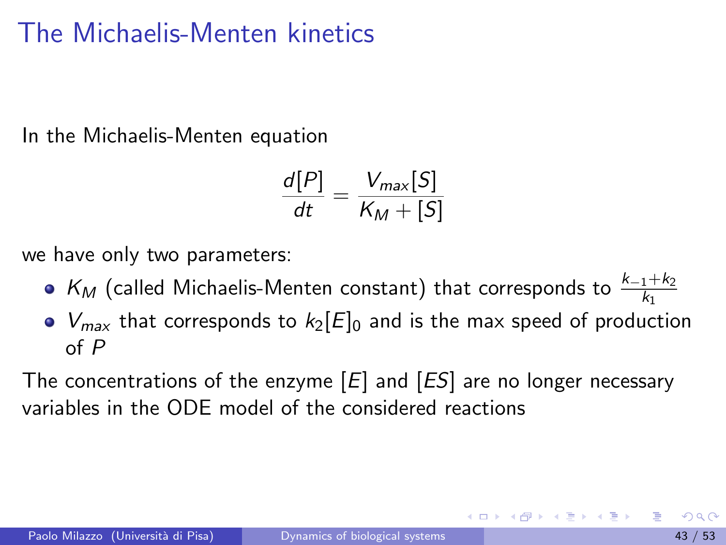In the Michaelis-Menten equation

$$
\frac{d[P]}{dt} = \frac{V_{max}[S]}{K_M + [S]}
$$

we have only two parameters:

- $\mathcal{K}_M$  (called Michaelis-Menten constant) that corresponds to  $\frac{k_{-1}+k_2}{k_1}$
- $V_{max}$  that corresponds to  $k_2[E]_0$  and is the max speed of production of P

The concentrations of the enzyme  $[E]$  and  $[ES]$  are no longer necessary variables in the ODE model of the considered reactions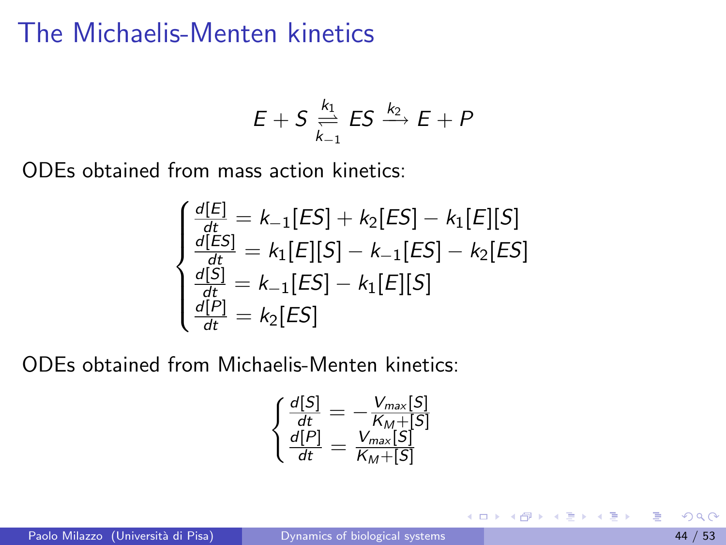$$
E+S\underset{k_{-1}}{\overset{k_1}{\rightleftharpoons}} ES\overset{k_2}{\longrightarrow} E+P
$$

ODEs obtained from mass action kinetics:

$$
\begin{cases}\n\frac{d[E]}{dt} = k_{-1}[ES] + k_{2}[ES] - k_{1}[E][S] \\
\frac{d[ES]}{dt} = k_{1}[E][S] - k_{-1}[ES] - k_{2}[ES] \\
\frac{d[S]}{dt} = k_{-1}[ES] - k_{1}[E][S] \\
\frac{d[P]}{dt} = k_{2}[ES]\n\end{cases}
$$

ODEs obtained from Michaelis-Menten kinetics:

$$
\begin{cases}\n\frac{d[S]}{dt} = -\frac{V_{max}[S]}{K_M + [S]} \\
\frac{d[P]}{dt} = \frac{V_{max}[S]}{K_M + [S]}\n\end{cases}
$$

э

イロト イ押ト イヨト イヨト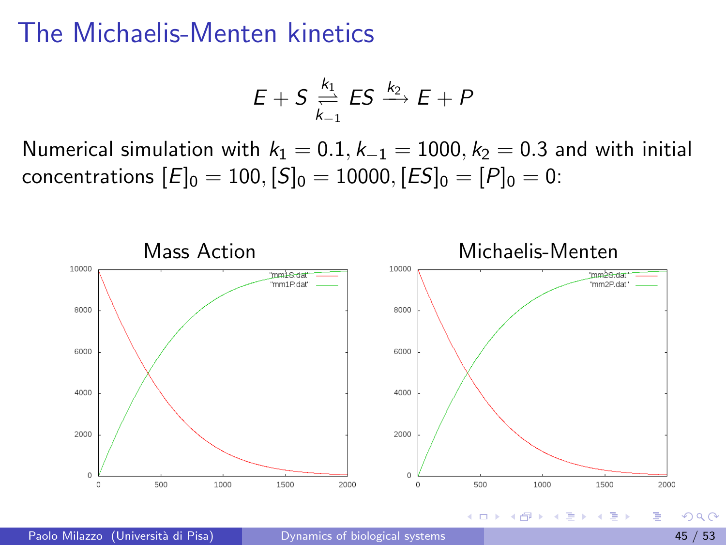$$
E+S\underset{k_{-1}}{\overset{k_1}{\rightleftharpoons}} ES\overset{k_2}{\longrightarrow} E+P
$$

Numerical simulation with  $k_1 = 0.1, k_{-1} = 1000, k_2 = 0.3$  and with initial concentrations  $[E]_0 = 100$ ,  $[S]_0 = 10000$ ,  $[ES]_0 = [P]_0 = 0$ :



4 **D** F

 $\Omega$ 

イヨト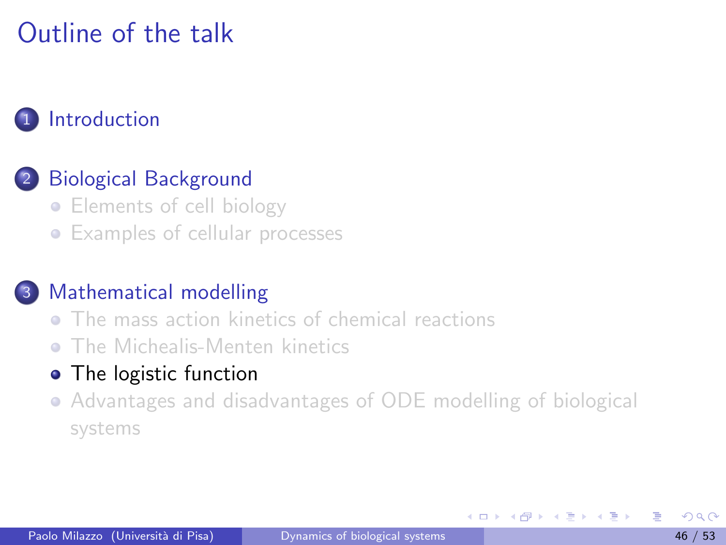# Outline of the talk

#### **[Introduction](#page-1-0)**

### [Biological Background](#page-3-0)

- [Elements of cell biology](#page-3-0)
- **•** [Examples of cellular processes](#page-10-0)

#### [Mathematical modelling](#page-22-0)

- **[The mass action kinetics of chemical reactions](#page-25-0)**
- **O** [The Michealis-Menten kinetics](#page-39-0)

#### • [The logistic function](#page-45-0)

[Advantages and disadvantages of ODE modelling of biological](#page-50-0) [systems](#page-50-0)

4 **D** F

<span id="page-45-0"></span>K 로 베 K 로 로 베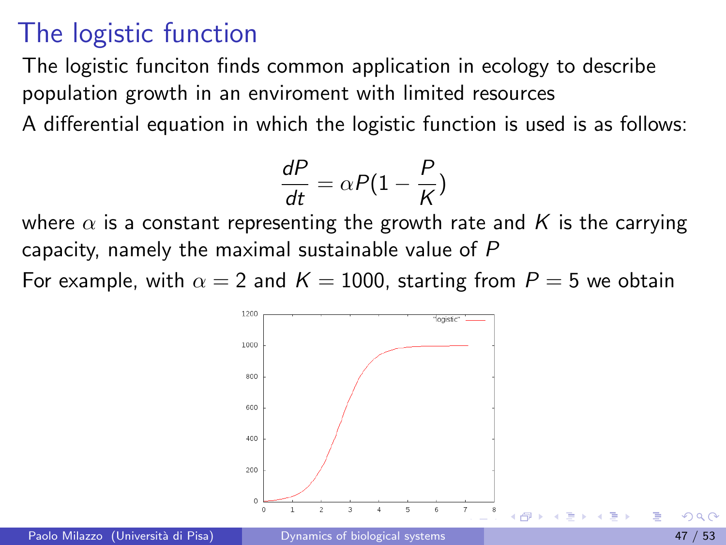The logistic funciton finds common application in ecology to describe population growth in an enviroment with limited resources A differential equation in which the logistic function is used is as follows:

$$
\frac{dP}{dt} = \alpha P(1 - \frac{P}{K})
$$

where  $\alpha$  is a constant representing the growth rate and K is the carrying capacity, namely the maximal sustainable value of P

For example, with  $\alpha = 2$  and  $K = 1000$ , starting from  $P = 5$  we obtain

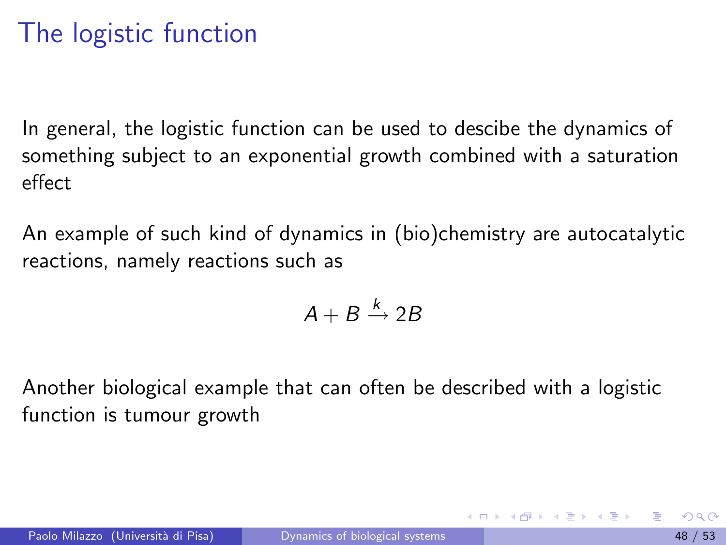In general, the logistic function can be used to descibe the dynamics of something subject to an exponential growth combined with a saturation effect

An example of such kind of dynamics in (bio)chemistry are autocatalytic reactions, namely reactions such as

$$
A+B\stackrel{k}{\rightarrow} 2B
$$

Another biological example that can often be described with a logistic function is tumour growth

イロト イ母 トイヨ トイヨ トー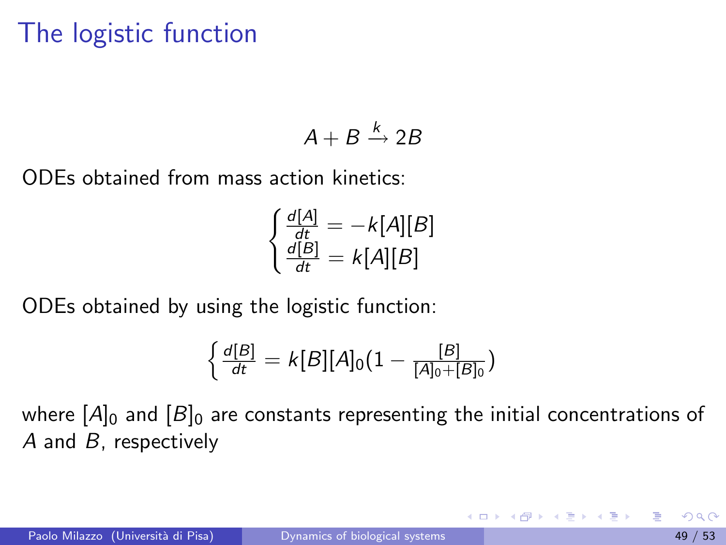$$
A + B \xrightarrow{k} 2B
$$

ODEs obtained from mass action kinetics:

$$
\begin{cases} \frac{d[A]}{dt} = -k[A][B] \\ \frac{d[B]}{dt} = k[A][B] \end{cases}
$$

ODEs obtained by using the logistic function:

$$
\left\{\frac{d[B]}{dt}=k[B][A]_0(1-\frac{[B]}{[A]_0+[B]_0})\right\}
$$

where  $[A]_0$  and  $[B]_0$  are constants representing the initial concentrations of A and B, respectively

 $A \oplus B$   $A \oplus B$   $A \oplus B$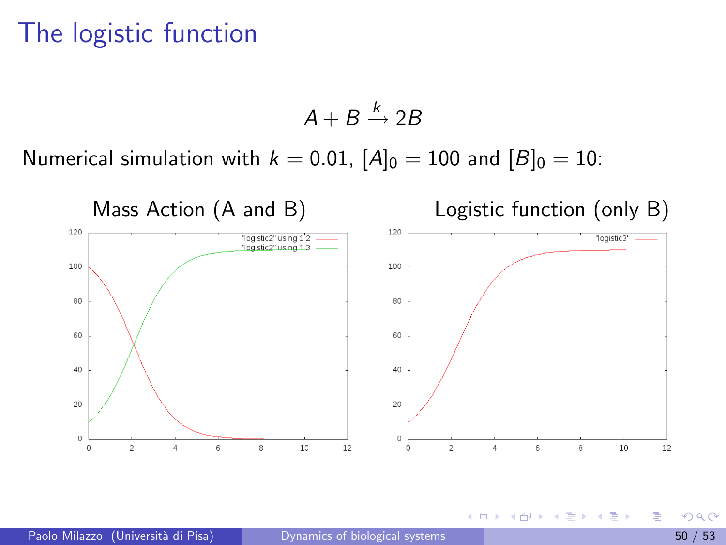$$
A + B \xrightarrow{k} 2B
$$

Numerical simulation with  $k = 0.01$ ,  $[A]_0 = 100$  and  $[B]_0 = 10$ :



4 0 8  $\mathcal{A}$  $\sim$   $\sim$  $\rightarrow$ ≘⇒ э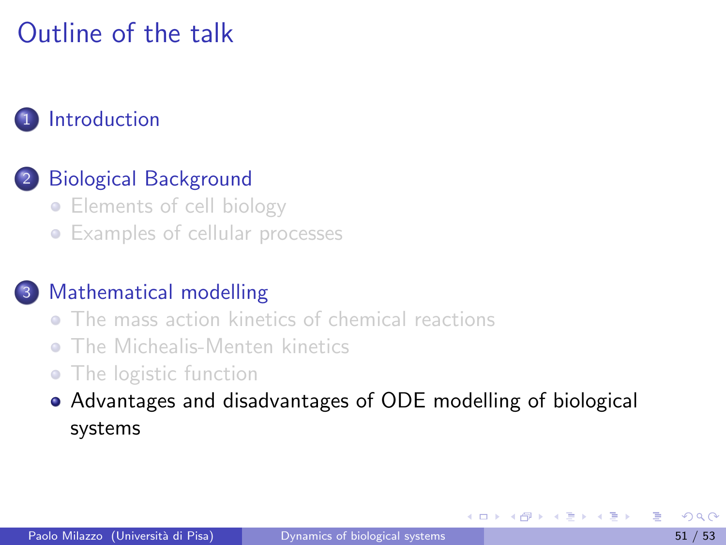# Outline of the talk

#### **[Introduction](#page-1-0)**

#### [Biological Background](#page-3-0)

- [Elements of cell biology](#page-3-0)
- **•** [Examples of cellular processes](#page-10-0)

#### [Mathematical modelling](#page-22-0)

- **[The mass action kinetics of chemical reactions](#page-25-0)**
- **O** [The Michealis-Menten kinetics](#page-39-0)
- [The logistic function](#page-45-0)
- [Advantages and disadvantages of ODE modelling of biological](#page-50-0) [systems](#page-50-0)

<span id="page-50-0"></span>化重新润滑脂

4 **D** F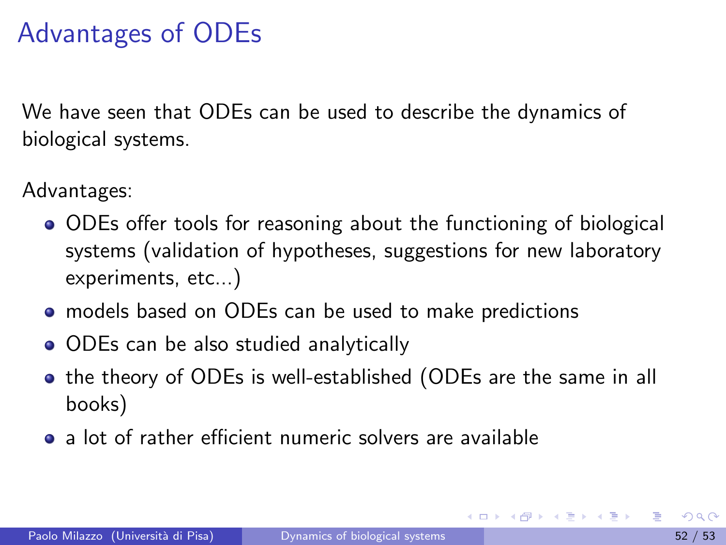## Advantages of ODEs

We have seen that ODEs can be used to describe the dynamics of biological systems.

Advantages:

- ODEs offer tools for reasoning about the functioning of biological systems (validation of hypotheses, suggestions for new laboratory experiments, etc...)
- models based on ODEs can be used to make predictions
- ODEs can be also studied analytically
- **•** the theory of ODEs is well-established (ODEs are the same in all books)
- a lot of rather efficient numeric solvers are available

 $A \oplus B$   $A \oplus B$   $A \oplus B$